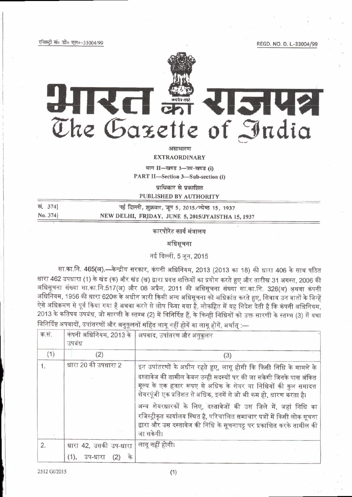रजिस्ट्री सं० डी० एल०-33004/99

REGD, NO. D. L.-33004/99



KO **RISHSI** समये अनुसार करने हैं।<br>जन्म के लिए किसी के लिए जाने के लिए जाएगा।<br>जनसंख्या के लिए किसी के लिए जाने के लिए जाने के लिए जाने के लिए जाएगा। The Gazette of India

असाधारण

**EXTRAORDINARY** 

भाग II-खण्ड 3-उप-खण्ड (i)

PART II-Section 3-Sub-section (i)

प्राधिकार से प्रकाशित

**PUBLISHED BY AUTHORITY** 

सं. 3741 नई दिल्ली, शुक्रवार, जून 5, 2015/ज्येष्ठ 15, 1937 No. 3741 NEW DELHI, FRIDAY, JUNE 5, 2015/JYAISTHA 15, 1937

कारपोरेट कार्य मंत्रालय

अधिसचना

नई दिल्ली, 5 जून, 2015

सा.का.नि. 465(अ).—केन्द्रीय सरकार, कंपनी अधिनियम, 2013 (2013 का 18) की धारा 406 के साथ पठित धारा 462 उपधारा (1) के खंड (क) और खंड (ख) द्वारा प्रदत्त शक्तियों का प्रयोग करते हुए और तारीख 31 अगस्त, 2006 की अधिसूचना संख्या सा.का.नि.517(अ) और 08 अप्रैल, 2011 की अधिसूचना संख्या सा.का.नि. 326(अ) अथवा कंपनी अधिनियम, 1956 की धारा 620क के अधीन जारी किसी अन्य अधिसूचना को अधिक्रांत करते हुए, सिवाय उन बातों के जिन्हें ऐसे अधिक्रमण से पूर्व किया गया है अथवा करने से लोप किया गया है, लोकहित में यह निदेश देती है कि कंपनी अधिनियम, 2013 के कतिपय उपबंध, जो सारणी के स्तम्भ (2) में विनिर्दिष्ट हैं, के किन्ही निधियों को उक्त सारणी के स्तम्भ (3) में यथा विनिर्दिष्ट अपवादों, उपांतरणों और अनुकूलनों सहित लागू नहीं होगें या लागू होगें, अर्थातु :—

| क.सं. | कंपनी अधिनियम, 2013 के<br>उपबंध                    | अपवाद, उपांतरण और अनुकूलन                                                                                                                                                                                                                                                        |
|-------|----------------------------------------------------|----------------------------------------------------------------------------------------------------------------------------------------------------------------------------------------------------------------------------------------------------------------------------------|
| (1)   | (2)                                                | (3)                                                                                                                                                                                                                                                                              |
| 1.    | धारा 20 की उपधारा 2                                | इन उपांतरणों के अधीन रहते हुए, लागू होगी कि किसी निधि के मामले के<br>दस्तावेज की तामील केवल उन्ही सदस्यों पर की जा सकेगी जिनके पास अंकित<br>मूल्य के एक हजार रूपए से अधिक के शेयर या निधियों की कुल समादत्त<br>शेयरपूंजी एक प्रतिशत से अधिक, इनमें से जो भी कम हो, धारण करता है। |
|       |                                                    | अन्य शेयरधारकों के लिए, दस्तावेजों की उस जिले में, जहां निधि का<br>रजिस्ट्रीकृत कार्यालय स्थित है, परिचालित समाचार पत्रों में किसी लोक सूचना<br>द्वारा और उस दस्तावेज की निधि के सूचनापट्ट पर प्रकाशित करके तामील की<br>जा सकेगी।                                                |
| 2.    | धारा 42, उसकी उप-धारा<br>के<br>(1),<br>उप-धारा (2) | लागू नहीं होगी।                                                                                                                                                                                                                                                                  |

 $(1)$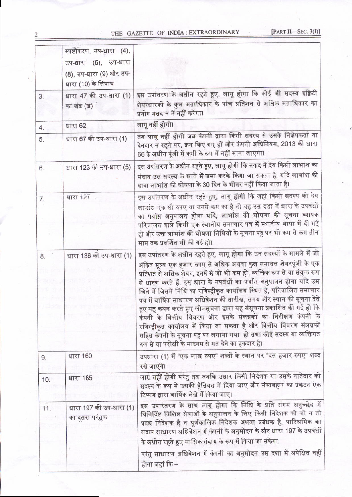## THE GAZETTE OF INDIA: EXTRAORDINARY

 $\overline{2}$ 

|     | स्पष्टीकरण, उप-धारा (4),<br>उप-धारा (6), उप-धारा<br>(8), उप-धारा (9) और उप-<br>धारा (10) के सिवाय |                                                                                                                                                                                                                                                                                                                                                                                                                                                                                                                                                                                                                                                                                                                                                                                                   |  |
|-----|---------------------------------------------------------------------------------------------------|---------------------------------------------------------------------------------------------------------------------------------------------------------------------------------------------------------------------------------------------------------------------------------------------------------------------------------------------------------------------------------------------------------------------------------------------------------------------------------------------------------------------------------------------------------------------------------------------------------------------------------------------------------------------------------------------------------------------------------------------------------------------------------------------------|--|
| 3.  | धारा 47 की उप-धारा (1)<br>का खंड (ख)                                                              | इस उपांतरण के अधीन रहते हुए, लागू होगा कि कोई भी सदस्य इक्विटी<br>शेयरधारकों के कुल मताधिकार के पांच प्रतिशत से अधिक मताधिकार का<br>प्रयोग मतदान में नहीं करेगा।                                                                                                                                                                                                                                                                                                                                                                                                                                                                                                                                                                                                                                  |  |
| 4.  | धारा 62                                                                                           | लागू नहीं होगी।                                                                                                                                                                                                                                                                                                                                                                                                                                                                                                                                                                                                                                                                                                                                                                                   |  |
| 5.  | धारा 67 की उप-धारा (1)                                                                            | तब लागू नहीं होगी जब कंपनी द्वारा किसी सदस्य से उसके निक्षेपकर्ता या<br>देनदार न रहने पर, क्रय किए गए हों और कंपनी अधिनियम, 2013 की धारा<br>66 के अधीन पूंजी में कमी के रूप में नहीं माना जाएगा।                                                                                                                                                                                                                                                                                                                                                                                                                                                                                                                                                                                                  |  |
| 6.  | धारा 123 की उप-धारा (5)                                                                           | इस उपांतरण के अधीन रहते हुए, लागू होगी कि नकद में देय किसी लाभांश का<br>संदाय उस सदस्य के खाते में जमा करके किया जा सकता है, यदि लाभांश की<br>दावा लाभांश की घोषणा के 30 दिन के भीतर नहीं किया जाता है।                                                                                                                                                                                                                                                                                                                                                                                                                                                                                                                                                                                           |  |
| 7.  | धारा 127                                                                                          | इस उपांतरण के अधीन रहते हुए, लागू होगी कि जहां किसी सदस्य को देय<br>लाभांश एक सौ रुपए या उससे कम का है तो यह उस दशा में धारा के उपबंधों<br>का पर्याप्त अनुपालन होगा यदि, लाभांश की घोषणा की सूचना व्यापक<br>परिचालन वाले किसी एक स्थानीय समाचार पत्र में स्थानीय भाषा में दी गई<br>हो और उक्त लाभांश की घोषणा निधियों के सूचना पट्ट पर भी कम से कम तीन<br>मास तक प्रदर्शित भी की गई हो।                                                                                                                                                                                                                                                                                                                                                                                                           |  |
| 8.  | धारा 136 की उप-धारा (1)                                                                           | इस उपांतरण के अधीन रहते हुए, लागू होगा कि उन सदस्यों के मामले में जो<br>अंकित मूल्य एक हजार रुपए से अधिक अथवा कुल समादत्त शेयरपूंजी के एक<br>प्रतिशत से अधिक शेयर, इनमें से जो भी कम हो, व्यक्तिक रूप से या संयुक्त रूप<br>से धारण करते हैं, इस धारा के उपबंधों का पर्याप्त अनुपालन होगा यदि उस<br>जिले में जिसमें निधि का रजिस्ट्रीकृत कार्यालय स्थित है, परिचालित समाचार<br>पत्र में वार्षिक साधारण अधिवेशन की तारीख, समय और स्थान की सूचना देते<br>हुए यह कथन करते हुए लोकसूचना द्वारा यह संसूचना प्रकाशित की गई हो कि<br>कंपनी के वित्तीय विवरण और इसके संलग्नकों का निरीक्षण कंपनी के<br>रजिस्ट्रीकृत कार्यालय में किया जा सकता है और वित्तीय विवरण संलग्नकों<br>सहित कंपनी के सूचना पट्ट पर लगाया गया  हो तथा कोई सदस्य या व्यक्तिगत<br>रूप से या परोक्षी के माध्यम से मत देने का हकदार है। |  |
| 9.  | धारा 160                                                                                          | उपधारा (1) में "एक लाख रुपए" शब्दों के स्थान पर "दस हजार रुपए" शब्द<br>रखे जाएँगे।                                                                                                                                                                                                                                                                                                                                                                                                                                                                                                                                                                                                                                                                                                                |  |
| 10. | धारा 185                                                                                          | लागू नहीं होगी परंतु तब जबकि उधार किसी निदेशक या उसके नातेदार को<br>सदस्य के रूप में उसकी हैसियत में दिया जाए और संव्यवहार का प्रकटन एक<br>टिप्पण द्वारा वार्षिक लेखे में किया जाए।                                                                                                                                                                                                                                                                                                                                                                                                                                                                                                                                                                                                               |  |
| 11. | धारा 197 की उप-धारा (1)<br>का दूसरा परंतुक                                                        | इस उपारंतरण के साथ लागू होगा कि निधि के प्रति संगम अनुच्छेद में<br>विनिर्दिष्ट विशिष्ट सेवाओं के अनुपालन के लिए किसी निदेशक को जो न तो<br>प्रबंध निदेशक है न पूर्णकालिक निदेशक अथवा प्रबंधक है, पारिश्रमिक का<br>संदाय साधारण अधिवेशन में कंपनी के अनुमोदन के और धारा 197 के उपबंधों<br>के अधीन रहते हुए मासिक संदाय के रूप में किया जा सकेगा;<br>परंतु साधारण अधिवेशन में कंपनी का अनुमोदन उस दशा में अपेक्षित नहीं<br>होगा जहां कि –                                                                                                                                                                                                                                                                                                                                                            |  |